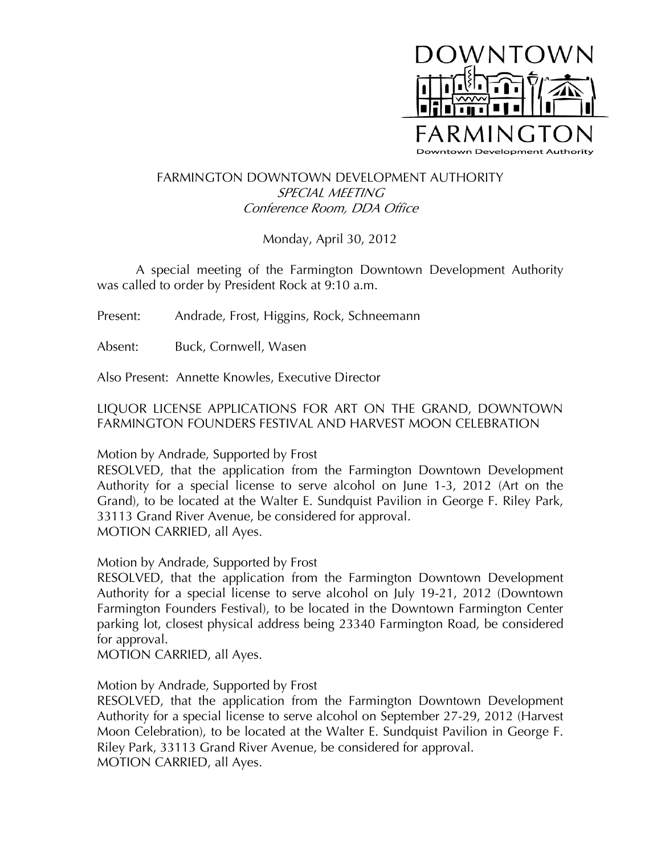

## FARMINGTON DOWNTOWN DEVELOPMENT AUTHORITY SPECIAL MEETING Conference Room, DDA Office

Monday, April 30, 2012

A special meeting of the Farmington Downtown Development Authority was called to order by President Rock at 9:10 a.m.

Present: Andrade, Frost, Higgins, Rock, Schneemann

Absent: Buck, Cornwell, Wasen

Also Present: Annette Knowles, Executive Director

LIQUOR LICENSE APPLICATIONS FOR ART ON THE GRAND, DOWNTOWN FARMINGTON FOUNDERS FESTIVAL AND HARVEST MOON CELEBRATION

Motion by Andrade, Supported by Frost

RESOLVED, that the application from the Farmington Downtown Development Authority for a special license to serve alcohol on June 1-3, 2012 (Art on the Grand), to be located at the Walter E. Sundquist Pavilion in George F. Riley Park, 33113 Grand River Avenue, be considered for approval. MOTION CARRIED, all Ayes.

Motion by Andrade, Supported by Frost

RESOLVED, that the application from the Farmington Downtown Development Authority for a special license to serve alcohol on July 19-21, 2012 (Downtown Farmington Founders Festival), to be located in the Downtown Farmington Center parking lot, closest physical address being 23340 Farmington Road, be considered for approval.

MOTION CARRIED, all Ayes.

Motion by Andrade, Supported by Frost

RESOLVED, that the application from the Farmington Downtown Development Authority for a special license to serve alcohol on September 27-29, 2012 (Harvest Moon Celebration), to be located at the Walter E. Sundquist Pavilion in George F. Riley Park, 33113 Grand River Avenue, be considered for approval. MOTION CARRIED, all Ayes.